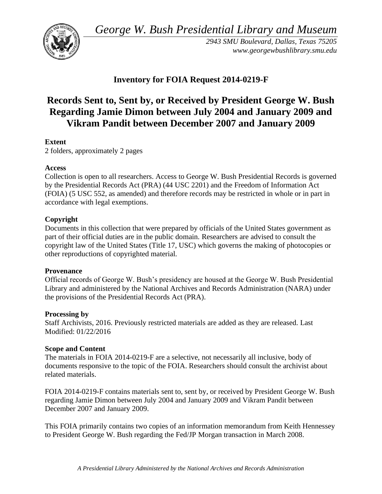*George W. Bush Presidential Library and Museum* 



*2943 SMU Boulevard, Dallas, Texas 75205 <www.georgewbushlibrary.smu.edu>* 

# **Inventory for FOIA Request 2014-0219-F**

# **Records Sent to, Sent by, or Received by President George W. Bush Regarding Jamie Dimon between July 2004 and January 2009 and Vikram Pandit between December 2007 and January 2009**

# **Extent**

2 folders, approximately 2 pages

## **Access**

Collection is open to all researchers. Access to George W. Bush Presidential Records is governed by the Presidential Records Act (PRA) (44 USC 2201) and the Freedom of Information Act (FOIA) (5 USC 552, as amended) and therefore records may be restricted in whole or in part in accordance with legal exemptions.

## **Copyright**

 Documents in this collection that were prepared by officials of the United States government as part of their official duties are in the public domain. Researchers are advised to consult the copyright law of the United States (Title 17, USC) which governs the making of photocopies or other reproductions of copyrighted material.

## **Provenance**

Official records of George W. Bush's presidency are housed at the George W. Bush Presidential Library and administered by the National Archives and Records Administration (NARA) under the provisions of the Presidential Records Act (PRA).

## **Processing by**

Staff Archivists, 2016. Previously restricted materials are added as they are released. Last Modified: 01/22/2016

## **Scope and Content**

 documents responsive to the topic of the FOIA. Researchers should consult the archivist about The materials in FOIA 2014-0219-F are a selective, not necessarily all inclusive, body of related materials.

FOIA 2014-0219-F contains materials sent to, sent by, or received by President George W. Bush regarding Jamie Dimon between July 2004 and January 2009 and Vikram Pandit between December 2007 and January 2009.

 to President George W. Bush regarding the Fed/JP Morgan transaction in March 2008. This FOIA primarily contains two copies of an information memorandum from Keith Hennessey